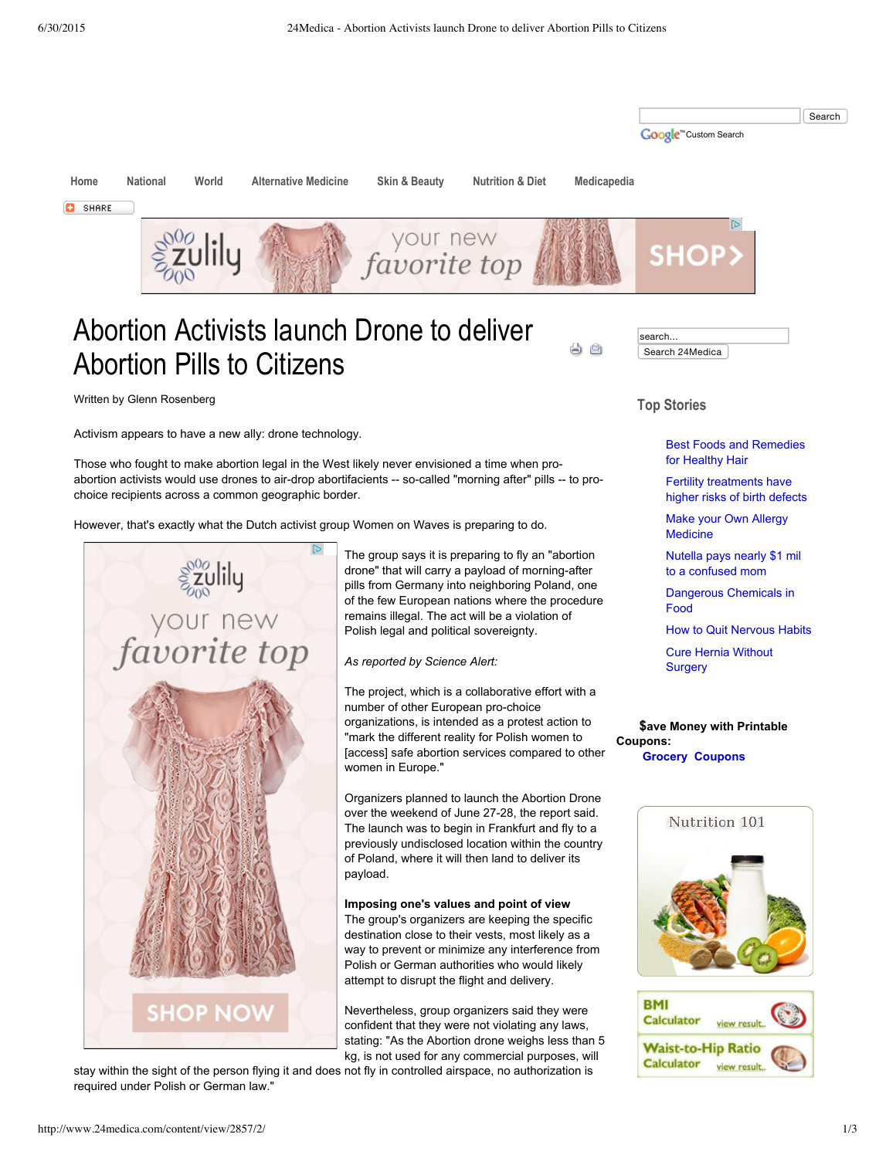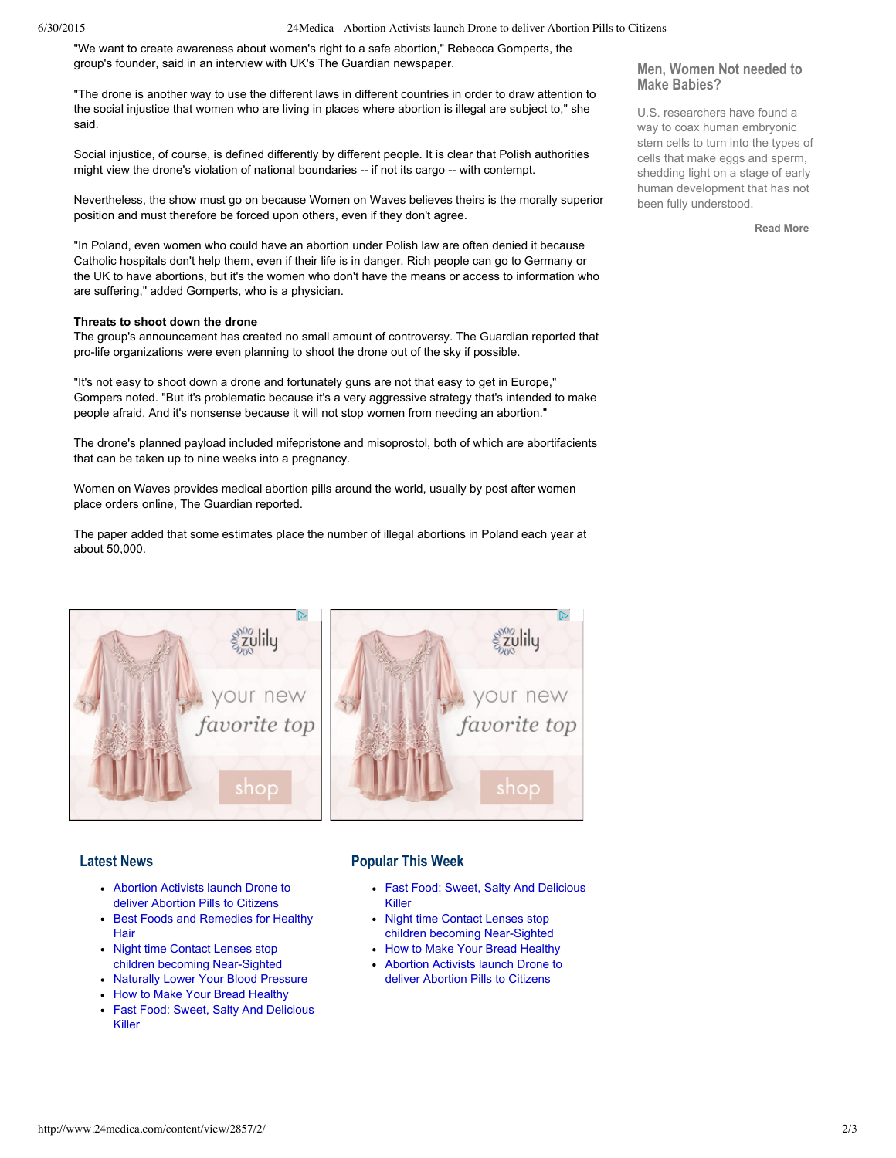#### 6/30/2015 24Medica - Abortion Activists launch Drone to deliver Abortion Pills to Citizens

"We want to create awareness about women's right to a safe abortion," Rebecca Gomperts, the group's founder, said in an interview with UK's The Guardian newspaper.

"The drone is another way to use the different laws in different countries in order to draw attention to the social injustice that women who are living in places where abortion is illegal are subject to," she said.

Social injustice, of course, is defined differently by different people. It is clear that Polish authorities might view the drone's violation of national boundaries -- if not its cargo -- with contempt.

Nevertheless, the show must go on because Women on Waves believes theirs is the morally superior position and must therefore be forced upon others, even if they don't agree.

"In Poland, even women who could have an abortion under Polish law are often denied it because Catholic hospitals don't help them, even if their life is in danger. Rich people can go to Germany or the UK to have abortions, but it's the women who don't have the means or access to information who are suffering," added Gomperts, who is a physician.

#### **Threats to shoot down the drone**

The group's announcement has created no small amount of controversy. The Guardian reported that pro-life organizations were even planning to shoot the drone out of the sky if possible.

"It's not easy to shoot down a drone and fortunately guns are not that easy to get in Europe," Gompers noted. "But it's problematic because it's a very aggressive strategy that's intended to make people afraid. And it's nonsense because it will not stop women from needing an abortion."

The drone's planned payload included mifepristone and misoprostol, both of which are abortifacients that can be taken up to nine weeks into a pregnancy.

Women on Waves provides medical abortion pills around the world, usually by post after women place orders online, The Guardian reported.

The paper added that some estimates place the number of illegal abortions in Poland each year at about 50,000.



# **Latest News**

- [Abortion](http://www.24medica.com/content/view/2857/2/) Activists launch Drone to deliver Abortion Pills to Citizens
- Best Foods and [Remedies](http://www.24medica.com/content/view/2856/2/) for Healthy Hair
- Night time Contact Lenses stop children becoming Near-Sighted
- Naturally Lower Your Blood [Pressure](http://www.24medica.com/content/view/2854/2/)
- How to Make Your Bread [Healthy](http://www.24medica.com/content/view/2853/2/)
- Fast Food: Sweet, Salty And [Delicious](http://www.24medica.com/content/view/2852/2/) Killer

# **Popular This Week**

- Fast Food: Sweet, Salty And [Delicious](http://www.24medica.com/content/view/2852/2/) Killer
- Night time Contact Lenses stop children becoming Near-Sighted
- How to Make Your Bread [Healthy](http://www.24medica.com/content/view/2853/2/)
- [Abortion](http://www.24medica.com/content/view/2857/2/) Activists launch Drone to deliver Abortion Pills to Citizens

## **Men, Women Not needed to Make Babies?**

U.S. researchers have found a way to coax human embryonic stem cells to turn into the types of cells that make eggs and sperm, shedding light on a stage of early human development that has not been fully understood.

**[Read](http://www.24medica.com/content/view/1202/73/) More**